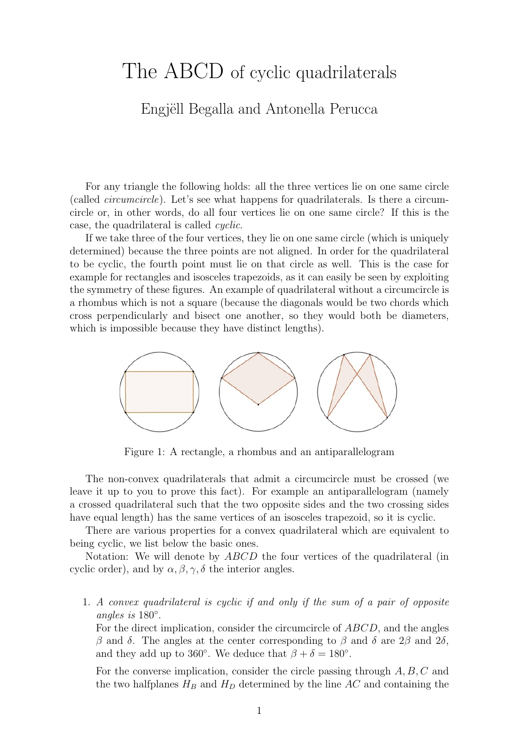## The ABCD of cyclic quadrilaterals

## Engjëll Begalla and Antonella Perucca

For any triangle the following holds: all the three vertices lie on one same circle (called circumcircle). Let's see what happens for quadrilaterals. Is there a circumcircle or, in other words, do all four vertices lie on one same circle? If this is the case, the quadrilateral is called cyclic.

If we take three of the four vertices, they lie on one same circle (which is uniquely determined) because the three points are not aligned. In order for the quadrilateral to be cyclic, the fourth point must lie on that circle as well. This is the case for example for rectangles and isosceles trapezoids, as it can easily be seen by exploiting the symmetry of these figures. An example of quadrilateral without a circumcircle is a rhombus which is not a square (because the diagonals would be two chords which cross perpendicularly and bisect one another, so they would both be diameters, which is impossible because they have distinct lengths).



Figure 1: A rectangle, a rhombus and an antiparallelogram

The non-convex quadrilaterals that admit a circumcircle must be crossed (we leave it up to you to prove this fact). For example an antiparallelogram (namely a crossed quadrilateral such that the two opposite sides and the two crossing sides have equal length) has the same vertices of an isosceles trapezoid, so it is cyclic.

There are various properties for a convex quadrilateral which are equivalent to being cyclic, we list below the basic ones.

Notation: We will denote by ABCD the four vertices of the quadrilateral (in cyclic order), and by  $\alpha, \beta, \gamma, \delta$  the interior angles.

1. A convex quadrilateral is cyclic if and only if the sum of a pair of opposite angles is 180◦ .

For the direct implication, consider the circumcircle of ABCD, and the angles β and δ. The angles at the center corresponding to β and δ are  $2β$  and  $2δ$ , and they add up to 360°. We deduce that  $\beta + \delta = 180^{\circ}$ .

For the converse implication, consider the circle passing through  $A, B, C$  and the two halfplanes  $H_B$  and  $H_D$  determined by the line AC and containing the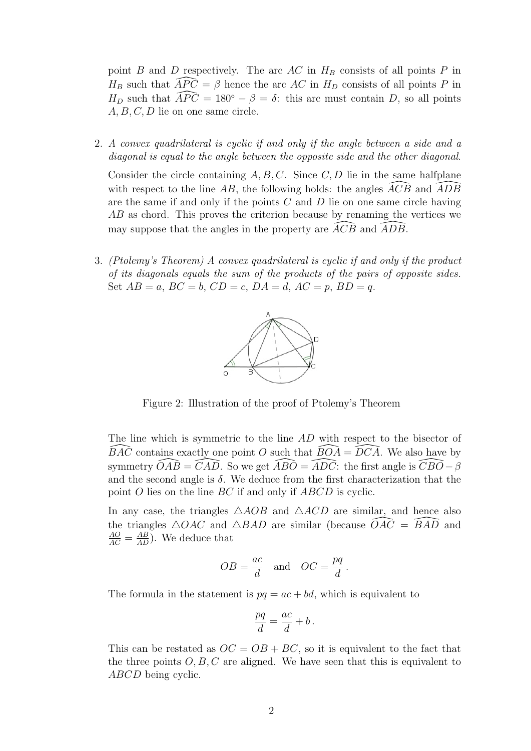point B and D respectively. The arc AC in  $H_B$  consists of all points P in  $H_B$  such that  $\widehat{APC} = \beta$  hence the arc AC in  $H_D$  consists of all points P in  $H_D$  such that  $\widehat{APC} = 180^\circ - \beta = \delta$ : this arc must contain D, so all points  $A, B, C, D$  lie on one same circle.

2. A convex quadrilateral is cyclic if and only if the angle between a side and a diagonal is equal to the angle between the opposite side and the other diagonal.

Consider the circle containing  $A, B, C$ . Since  $C, D$  lie in the same halfplane with respect to the line AB, the following holds: the angles  $\overline{ACB}$  and  $\overline{ADB}$ are the same if and only if the points  $C$  and  $D$  lie on one same circle having AB as chord. This proves the criterion because by renaming the vertices we may suppose that the angles in the property are  $\overline{ACB}$  and  $\overline{ADB}$ .

3. (Ptolemy's Theorem) A convex quadrilateral is cyclic if and only if the product of its diagonals equals the sum of the products of the pairs of opposite sides. Set  $AB = a$ ,  $BC = b$ ,  $CD = c$ ,  $DA = d$ ,  $AC = p$ ,  $BD = q$ .



Figure 2: Illustration of the proof of Ptolemy's Theorem

The line which is symmetric to the line AD with respect to the bisector of  $BAC$  contains exactly one point O such that  $BOA = DCA$ . We also have by symmetry  $\widehat{OAB} = \widehat{CAD}$ . So we get  $\widehat{ABO} = \widehat{ADC}$ : the first angle is  $\widehat{CBO} - \beta$ and the second angle is  $\delta$ . We deduce from the first characterization that the point O lies on the line BC if and only if ABCD is cyclic.

In any case, the triangles  $\triangle AOB$  and  $\triangle ACD$  are similar, and hence also the triangles  $\triangle OAC$  and  $\triangle BAD$  are similar (because  $\widehat{OAC} = \widehat{BAD}$  and  $\frac{AO}{AC} = \frac{AB}{AD}$ . We deduce that

$$
OB = \frac{ac}{d}
$$
 and  $OC = \frac{pq}{d}$ .

The formula in the statement is  $pq = ac + bd$ , which is equivalent to

$$
\frac{pq}{d} = \frac{ac}{d} + b \, .
$$

This can be restated as  $OC = OB + BC$ , so it is equivalent to the fact that the three points  $O, B, C$  are aligned. We have seen that this is equivalent to ABCD being cyclic.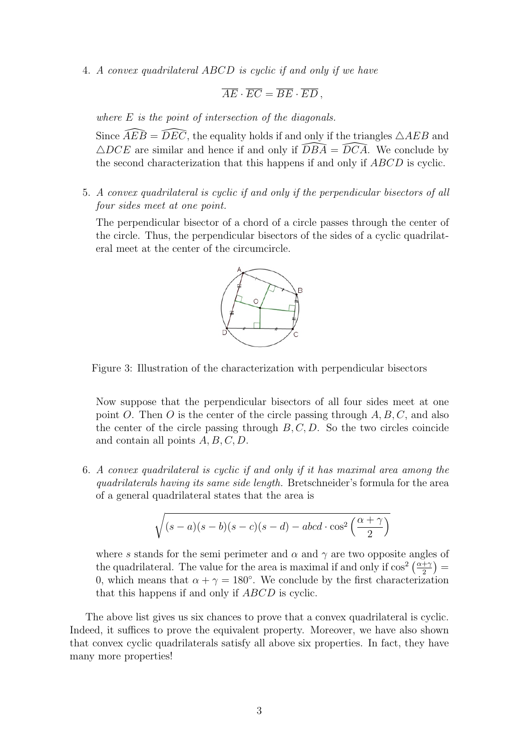4. A convex quadrilateral ABCD is cyclic if and only if we have

$$
\overline{AE}\cdot\overline{EC}=\overline{BE}\cdot\overline{ED}\,,
$$

where  $E$  is the point of intersection of the diagonals.

Since  $\widehat{A}E\widehat{B} = \widehat{D}E\widehat{C}$ , the equality holds if and only if the triangles  $\triangle AEB$  and  $\triangle DCE$  are similar and hence if and only if  $\overline{DBA} = \overline{DCA}$ . We conclude by the second characterization that this happens if and only if ABCD is cyclic.

5. A convex quadrilateral is cyclic if and only if the perpendicular bisectors of all four sides meet at one point.

The perpendicular bisector of a chord of a circle passes through the center of the circle. Thus, the perpendicular bisectors of the sides of a cyclic quadrilateral meet at the center of the circumcircle.



Figure 3: Illustration of the characterization with perpendicular bisectors

Now suppose that the perpendicular bisectors of all four sides meet at one point O. Then O is the center of the circle passing through  $A, B, C$ , and also the center of the circle passing through  $B, C, D$ . So the two circles coincide and contain all points  $A, B, C, D$ .

6. A convex quadrilateral is cyclic if and only if it has maximal area among the quadrilaterals having its same side length. Bretschneider's formula for the area of a general quadrilateral states that the area is

$$
\sqrt{(s-a)(s-b)(s-c)(s-d) - abcd \cdot \cos^2\left(\frac{\alpha + \gamma}{2}\right)}
$$

where s stands for the semi-perimeter and  $\alpha$  and  $\gamma$  are two opposite angles of the quadrilateral. The value for the area is maximal if and only if  $\cos^2\left(\frac{\alpha+\gamma}{2}\right)$  $\frac{+\gamma}{2})=$ 0, which means that  $\alpha + \gamma = 180^{\circ}$ . We conclude by the first characterization that this happens if and only if ABCD is cyclic.

The above list gives us six chances to prove that a convex quadrilateral is cyclic. Indeed, it suffices to prove the equivalent property. Moreover, we have also shown that convex cyclic quadrilaterals satisfy all above six properties. In fact, they have many more properties!